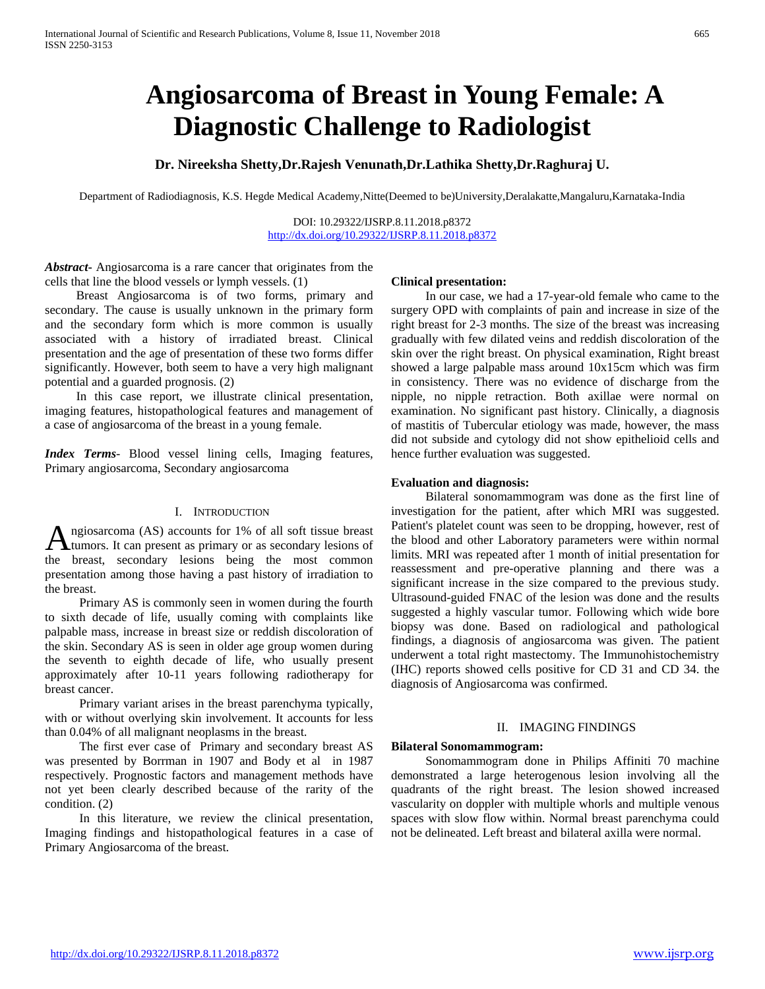# **Angiosarcoma of Breast in Young Female: A Diagnostic Challenge to Radiologist**

**Dr. Nireeksha Shetty,Dr.Rajesh Venunath,Dr.Lathika Shetty,Dr.Raghuraj U.**

Department of Radiodiagnosis, K.S. Hegde Medical Academy,Nitte(Deemed to be)University,Deralakatte,Mangaluru,Karnataka-India

DOI: 10.29322/IJSRP.8.11.2018.p8372 <http://dx.doi.org/10.29322/IJSRP.8.11.2018.p8372>

*Abstract***-** Angiosarcoma is a rare cancer that originates from the cells that line the blood vessels or lymph vessels. (1)

 Breast Angiosarcoma is of two forms, primary and secondary. The cause is usually unknown in the primary form and the secondary form which is more common is usually associated with a history of irradiated breast. Clinical presentation and the age of presentation of these two forms differ significantly. However, both seem to have a very high malignant potential and a guarded prognosis. (2)

 In this case report, we illustrate clinical presentation, imaging features, histopathological features and management of a case of angiosarcoma of the breast in a young female.

*Index Terms*- Blood vessel lining cells, Imaging features, Primary angiosarcoma, Secondary angiosarcoma

### I. INTRODUCTION

ngiosarcoma (AS) accounts for 1% of all soft tissue breast A ngiosarcoma (AS) accounts for 1% of all soft tissue breast<br>
tumors. It can present as primary or as secondary lesions of the breast, secondary lesions being the most common presentation among those having a past history of irradiation to the breast.

 Primary AS is commonly seen in women during the fourth to sixth decade of life, usually coming with complaints like palpable mass, increase in breast size or reddish discoloration of the skin. Secondary AS is seen in older age group women during the seventh to eighth decade of life, who usually present approximately after 10-11 years following radiotherapy for breast cancer.

 Primary variant arises in the breast parenchyma typically, with or without overlying skin involvement. It accounts for less than 0.04% of all malignant neoplasms in the breast.

 The first ever case of Primary and secondary breast AS was presented by Borrman in 1907 and Body et al in 1987 respectively. Prognostic factors and management methods have not yet been clearly described because of the rarity of the condition. (2)

 In this literature, we review the clinical presentation, Imaging findings and histopathological features in a case of Primary Angiosarcoma of the breast.

## **Clinical presentation:**

 In our case, we had a 17-year-old female who came to the surgery OPD with complaints of pain and increase in size of the right breast for 2-3 months. The size of the breast was increasing gradually with few dilated veins and reddish discoloration of the skin over the right breast. On physical examination, Right breast showed a large palpable mass around 10x15cm which was firm in consistency. There was no evidence of discharge from the nipple, no nipple retraction. Both axillae were normal on examination. No significant past history. Clinically, a diagnosis of mastitis of Tubercular etiology was made, however, the mass did not subside and cytology did not show epithelioid cells and hence further evaluation was suggested.

## **Evaluation and diagnosis:**

 Bilateral sonomammogram was done as the first line of investigation for the patient, after which MRI was suggested. Patient's platelet count was seen to be dropping, however, rest of the blood and other Laboratory parameters were within normal limits. MRI was repeated after 1 month of initial presentation for reassessment and pre-operative planning and there was a significant increase in the size compared to the previous study. Ultrasound-guided FNAC of the lesion was done and the results suggested a highly vascular tumor. Following which wide bore biopsy was done. Based on radiological and pathological findings, a diagnosis of angiosarcoma was given. The patient underwent a total right mastectomy. The Immunohistochemistry (IHC) reports showed cells positive for CD 31 and CD 34. the diagnosis of Angiosarcoma was confirmed.

## II. IMAGING FINDINGS

## **Bilateral Sonomammogram:**

 Sonomammogram done in Philips Affiniti 70 machine demonstrated a large heterogenous lesion involving all the quadrants of the right breast. The lesion showed increased vascularity on doppler with multiple whorls and multiple venous spaces with slow flow within. Normal breast parenchyma could not be delineated. Left breast and bilateral axilla were normal.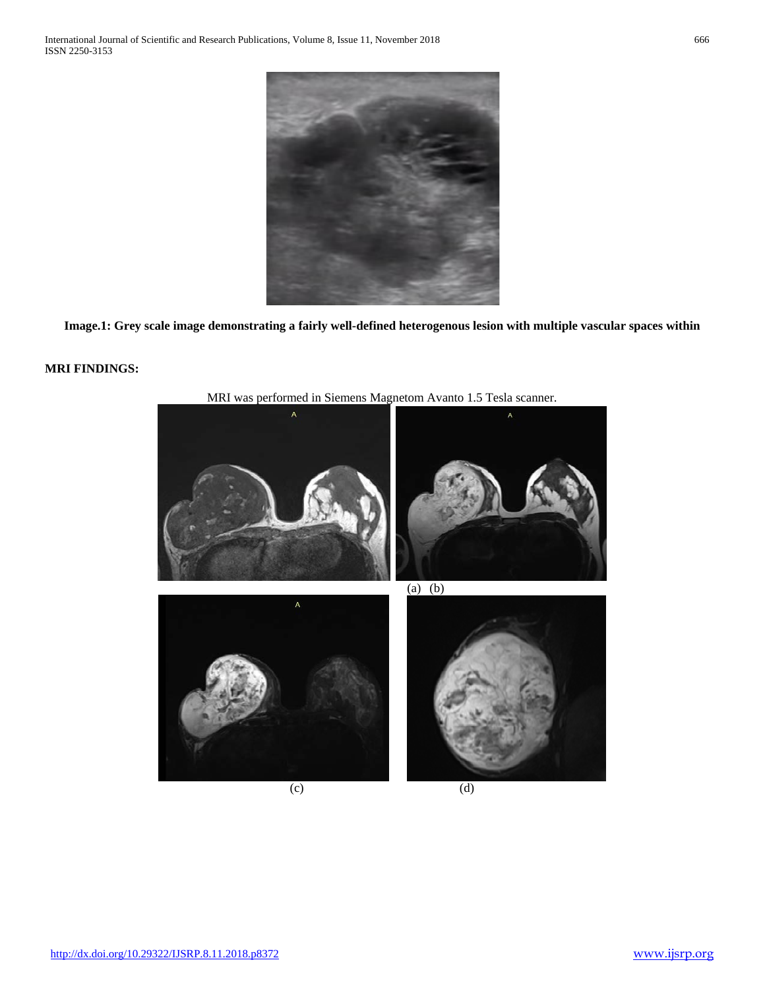

**Image.1: Grey scale image demonstrating a fairly well-defined heterogenous lesion with multiple vascular spaces within**

# **MRI FINDINGS:**



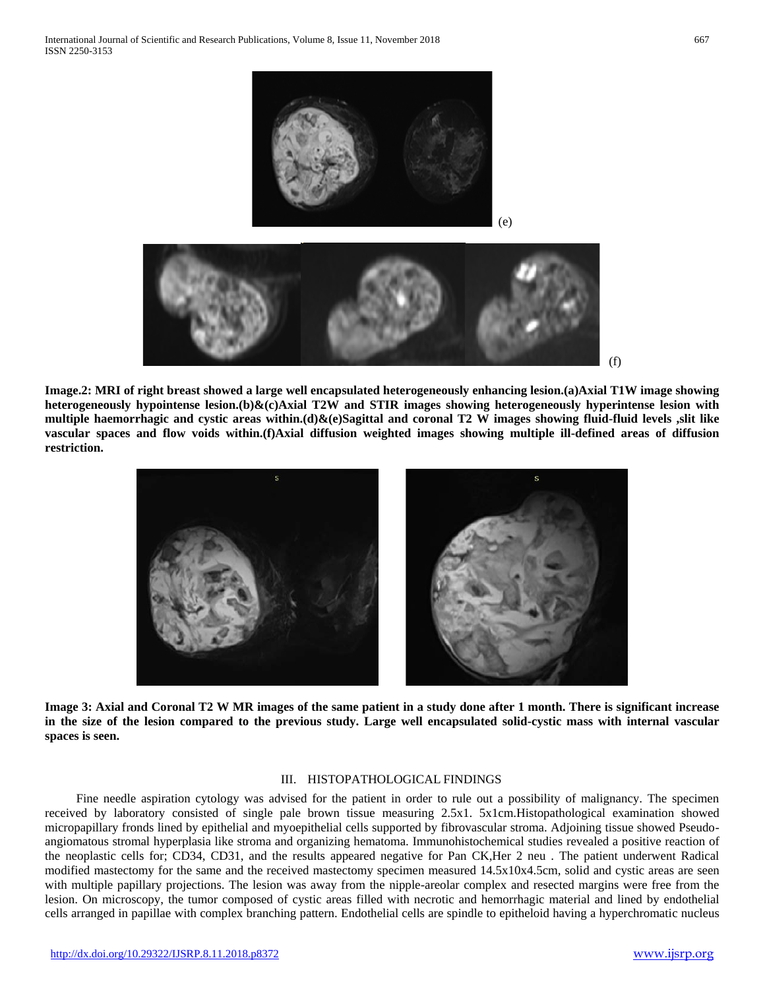

**Image.2: MRI of right breast showed a large well encapsulated heterogeneously enhancing lesion.(a)Axial T1W image showing heterogeneously hypointense lesion.(b)&(c)Axial T2W and STIR images showing heterogeneously hyperintense lesion with multiple haemorrhagic and cystic areas within.(d)&(e)Sagittal and coronal T2 W images showing fluid-fluid levels ,slit like vascular spaces and flow voids within.(f)Axial diffusion weighted images showing multiple ill-defined areas of diffusion restriction.**



**Image 3: Axial and Coronal T2 W MR images of the same patient in a study done after 1 month. There is significant increase in the size of the lesion compared to the previous study. Large well encapsulated solid-cystic mass with internal vascular spaces is seen.**

#### III. HISTOPATHOLOGICAL FINDINGS

 Fine needle aspiration cytology was advised for the patient in order to rule out a possibility of malignancy. The specimen received by laboratory consisted of single pale brown tissue measuring 2.5x1. 5x1cm.Histopathological examination showed micropapillary fronds lined by epithelial and myoepithelial cells supported by fibrovascular stroma. Adjoining tissue showed Pseudoangiomatous stromal hyperplasia like stroma and organizing hematoma. Immunohistochemical studies revealed a positive reaction of the neoplastic cells for; CD34, CD31, and the results appeared negative for Pan CK,Her 2 neu . The patient underwent Radical modified mastectomy for the same and the received mastectomy specimen measured 14.5x10x4.5cm, solid and cystic areas are seen with multiple papillary projections. The lesion was away from the nipple-areolar complex and resected margins were free from the lesion. On microscopy, the tumor composed of cystic areas filled with necrotic and hemorrhagic material and lined by endothelial cells arranged in papillae with complex branching pattern. Endothelial cells are spindle to epitheloid having a hyperchromatic nucleus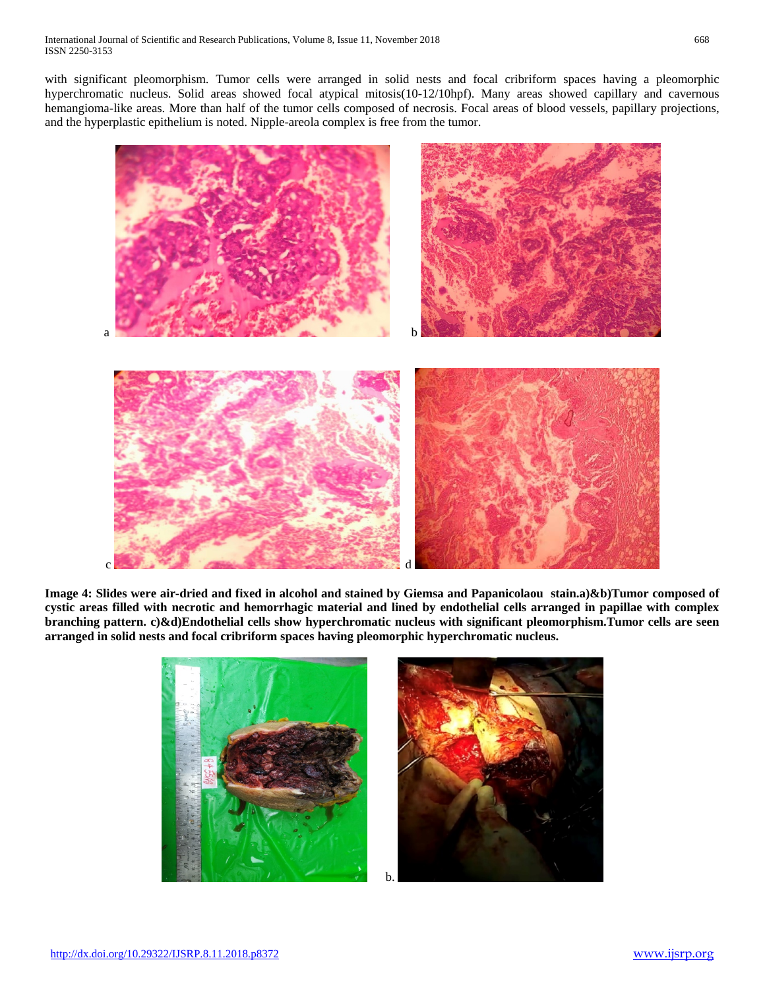with significant pleomorphism. Tumor cells were arranged in solid nests and focal cribriform spaces having a pleomorphic hyperchromatic nucleus. Solid areas showed focal atypical mitosis(10-12/10hpf). Many areas showed capillary and cavernous hemangioma-like areas. More than half of the tumor cells composed of necrosis. Focal areas of blood vessels, papillary projections, and the hyperplastic epithelium is noted. Nipple-areola complex is free from the tumor.



**Image 4: Slides were air-dried and fixed in alcohol and stained by Giemsa and Papanicolaou stain.a)&b)Tumor composed of cystic areas filled with necrotic and hemorrhagic material and lined by endothelial cells arranged in papillae with complex branching pattern. c)&d)Endothelial cells show hyperchromatic nucleus with significant pleomorphism.Tumor cells are seen arranged in solid nests and focal cribriform spaces having pleomorphic hyperchromatic nucleus.**

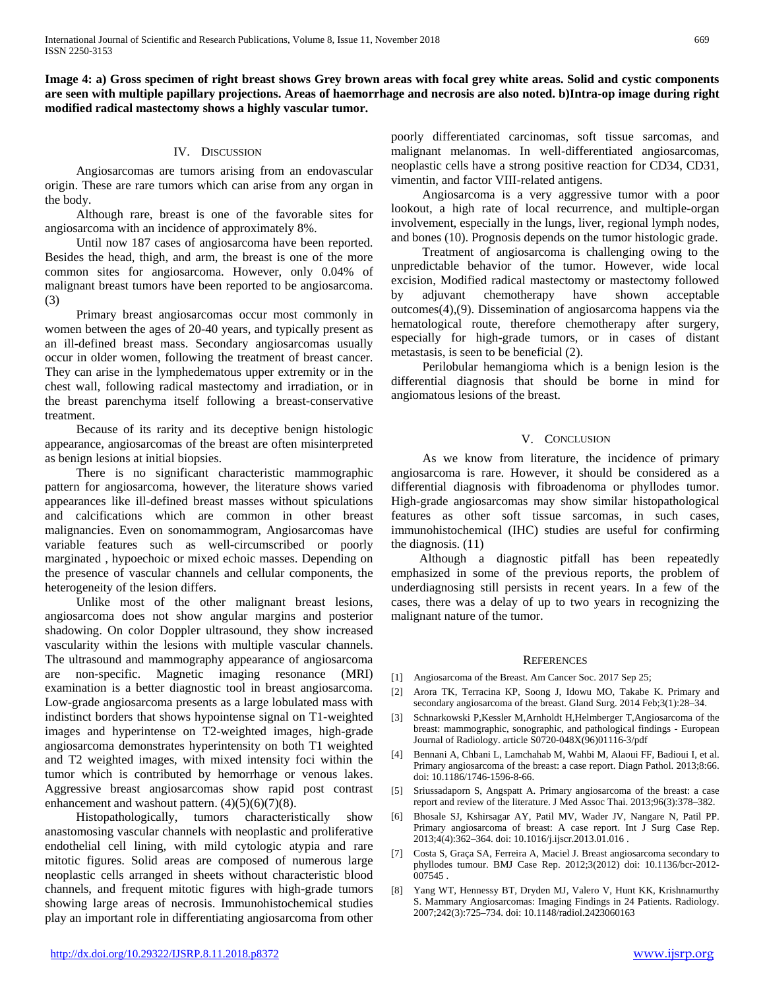**Image 4: a) Gross specimen of right breast shows Grey brown areas with focal grey white areas. Solid and cystic components are seen with multiple papillary projections. Areas of haemorrhage and necrosis are also noted. b)Intra-op image during right modified radical mastectomy shows a highly vascular tumor.**

# IV. DISCUSSION

 Angiosarcomas are tumors arising from an endovascular origin. These are rare tumors which can arise from any organ in the body.

 Although rare, breast is one of the favorable sites for angiosarcoma with an incidence of approximately 8%.

 Until now 187 cases of angiosarcoma have been reported. Besides the head, thigh, and arm, the breast is one of the more common sites for angiosarcoma. However, only 0.04% of malignant breast tumors have been reported to be angiosarcoma. (3)

 Primary breast angiosarcomas occur most commonly in women between the ages of 20-40 years, and typically present as an ill-defined breast mass. Secondary angiosarcomas usually occur in older women, following the treatment of breast cancer. They can arise in the lymphedematous upper extremity or in the chest wall, following radical mastectomy and irradiation, or in the breast parenchyma itself following a breast-conservative treatment.

 Because of its rarity and its deceptive benign histologic appearance, angiosarcomas of the breast are often misinterpreted as benign lesions at initial biopsies.

 There is no significant characteristic mammographic pattern for angiosarcoma, however, the literature shows varied appearances like ill-defined breast masses without spiculations and calcifications which are common in other breast malignancies. Even on sonomammogram, Angiosarcomas have variable features such as well-circumscribed or poorly marginated , hypoechoic or mixed echoic masses. Depending on the presence of vascular channels and cellular components, the heterogeneity of the lesion differs.

 Unlike most of the other malignant breast lesions, angiosarcoma does not show angular margins and posterior shadowing. On color Doppler ultrasound, they show increased vascularity within the lesions with multiple vascular channels. The ultrasound and mammography appearance of angiosarcoma are non-specific. Magnetic imaging resonance (MRI) examination is a better diagnostic tool in breast angiosarcoma. Low-grade angiosarcoma presents as a large lobulated mass with indistinct borders that shows hypointense signal on T1-weighted images and hyperintense on T2-weighted images, high-grade angiosarcoma demonstrates hyperintensity on both T1 weighted and T2 weighted images, with mixed intensity foci within the tumor which is contributed by hemorrhage or venous lakes. Aggressive breast angiosarcomas show rapid post contrast enhancement and washout pattern.  $(4)(5)(6)(7)(8)$ .

 Histopathologically, tumors characteristically show anastomosing vascular channels with neoplastic and proliferative endothelial cell lining, with mild cytologic atypia and rare mitotic figures. Solid areas are composed of numerous large neoplastic cells arranged in sheets without characteristic blood channels, and frequent mitotic figures with high-grade tumors showing large areas of necrosis. Immunohistochemical studies play an important role in differentiating angiosarcoma from other poorly differentiated carcinomas, soft tissue sarcomas, and malignant melanomas. In well-differentiated angiosarcomas, neoplastic cells have a strong positive reaction for CD34, CD31, vimentin, and factor VIII-related antigens.

 Angiosarcoma is a very aggressive tumor with a poor lookout, a high rate of local recurrence, and multiple-organ involvement, especially in the lungs, liver, regional lymph nodes, and bones (10). Prognosis depends on the tumor histologic grade.

 Treatment of angiosarcoma is challenging owing to the unpredictable behavior of the tumor. However, wide local excision, Modified radical mastectomy or mastectomy followed by adjuvant chemotherapy have shown acceptable outcomes(4),(9). Dissemination of angiosarcoma happens via the hematological route, therefore chemotherapy after surgery, especially for high-grade tumors, or in cases of distant metastasis, is seen to be beneficial (2).

 Perilobular hemangioma which is a benign lesion is the differential diagnosis that should be borne in mind for angiomatous lesions of the breast.

# V. CONCLUSION

 As we know from literature, the incidence of primary angiosarcoma is rare. However, it should be considered as a differential diagnosis with fibroadenoma or phyllodes tumor. High-grade angiosarcomas may show similar histopathological features as other soft tissue sarcomas, in such cases, immunohistochemical (IHC) studies are useful for confirming the diagnosis. (11)

 Although a diagnostic pitfall has been repeatedly emphasized in some of the previous reports, the problem of underdiagnosing still persists in recent years. In a few of the cases, there was a delay of up to two years in recognizing the malignant nature of the tumor.

## **REFERENCES**

- [1] Angiosarcoma of the Breast. Am Cancer Soc. 2017 Sep 25;
- [2] Arora TK, Terracina KP, Soong J, Idowu MO, Takabe K. Primary and secondary angiosarcoma of the breast. Gland Surg. 2014 Feb;3(1):28–34.
- [3] Schnarkowski P,Kessler M,Arnholdt H,Helmberger T,Angiosarcoma of the breast: mammographic, sonographic, and pathological findings - European Journal of Radiology. article S0720-048X(96)01116-3/pdf
- [4] Bennani A, Chbani L, Lamchahab M, Wahbi M, Alaoui FF, Badioui I, et al. Primary angiosarcoma of the breast: a case report. Diagn Pathol. 2013;8:66. doi: 10.1186/1746-1596-8-66.
- [5] Sriussadaporn S, Angspatt A. Primary angiosarcoma of the breast: a case report and review of the literature. J Med Assoc Thai. 2013;96(3):378–382.
- [6] Bhosale SJ, Kshirsagar AY, Patil MV, Wader JV, Nangare N, Patil PP. Primary angiosarcoma of breast: A case report. Int J Surg Case Rep. 2013;4(4):362–364. doi: 10.1016/j.ijscr.2013.01.016 .
- [7] Costa S, Graça SA, Ferreira A, Maciel J. Breast angiosarcoma secondary to phyllodes tumour. BMJ Case Rep. 2012;3(2012) doi: 10.1136/bcr-2012- 007545 .
- [8] Yang WT, Hennessy BT, Dryden MJ, Valero V, Hunt KK, Krishnamurthy S. Mammary Angiosarcomas: Imaging Findings in 24 Patients. Radiology. 2007;242(3):725–734. doi: 10.1148/radiol.2423060163